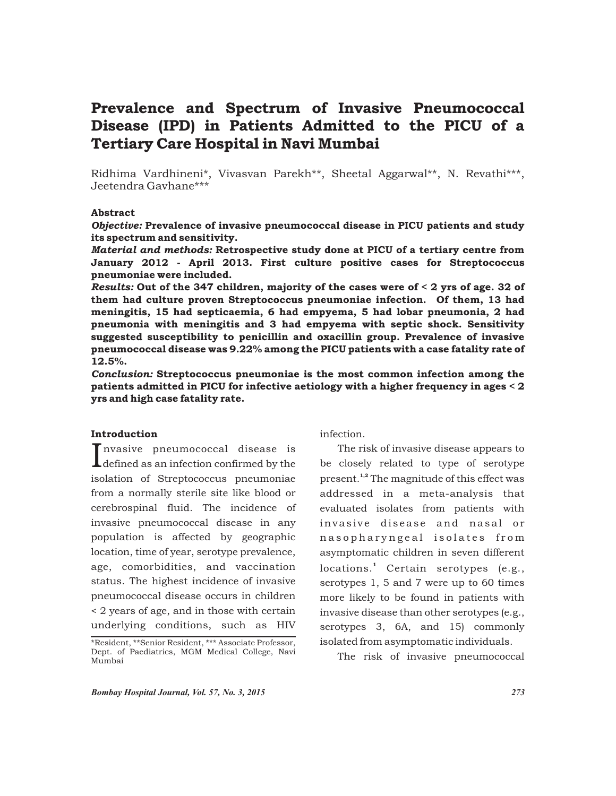# Prevalence and Spectrum of Invasive Pneumococcal Disease (IPD) in Patients Admitted to the PICU of a Tertiary Care Hospital in Navi Mumbai

Ridhima Vardhineni\*, Vivasvan Parekh\*\*, Sheetal Aggarwal\*\*, N. Revathi\*\*\*, Jeetendra Gavhane\*\*\*

#### Abstract

*Objective:* Prevalence of invasive pneumococcal disease in PICU patients and study its spectrum and sensitivity.

*Material and methods:* Retrospective study done at PICU of a tertiary centre from January 2012 - April 2013. First culture positive cases for Streptococcus pneumoniae were included.

*Results:* Out of the 347 children, majority of the cases were of < 2 yrs of age. 32 of them had culture proven Streptococcus pneumoniae infection. Of them, 13 had meningitis, 15 had septicaemia, 6 had empyema, 5 had lobar pneumonia, 2 had pneumonia with meningitis and 3 had empyema with septic shock. Sensitivity suggested susceptibility to penicillin and oxacillin group. Prevalence of invasive pneumococcal disease was 9.22% among the PICU patients with a case fatality rate of 12.5%.

*Conclusion:* Streptococcus pneumoniae is the most common infection among the patients admitted in PICU for infective aetiology with a higher frequency in ages < 2 yrs and high case fatality rate.

### Introduction

Invasive pneumococcal disease is Idefined as an infection confirmed by the isolation of Streptococcus pneumoniae from a normally sterile site like blood or cerebrospinal fluid. The incidence of invasive pneumococcal disease in any population is affected by geographic location, time of year, serotype prevalence, age, comorbidities, and vaccination status. The highest incidence of invasive pneumococcal disease occurs in children < 2 years of age, and in those with certain underlying conditions, such as HIV

infection.

The risk of invasive disease appears to be closely related to type of serotype present.<sup>1,2</sup> The magnitude of this effect was addressed in a meta-analysis that evaluated isolates from patients with invasive disease and nasal or n a s o p h a r y n g e a l isolates from asymptomatic children in seven different locations.<sup>1</sup> Certain serotypes (e.g., serotypes 1, 5 and 7 were up to 60 times more likely to be found in patients with invasive disease than other serotypes (e.g., serotypes 3, 6A, and 15) commonly isolated from asymptomatic individuals.

The risk of invasive pneumococcal

<sup>\*</sup>Resident, \*\*Senior Resident, \*\*\* Associate Professor, Dept. of Paediatrics, MGM Medical College, Navi Mumbai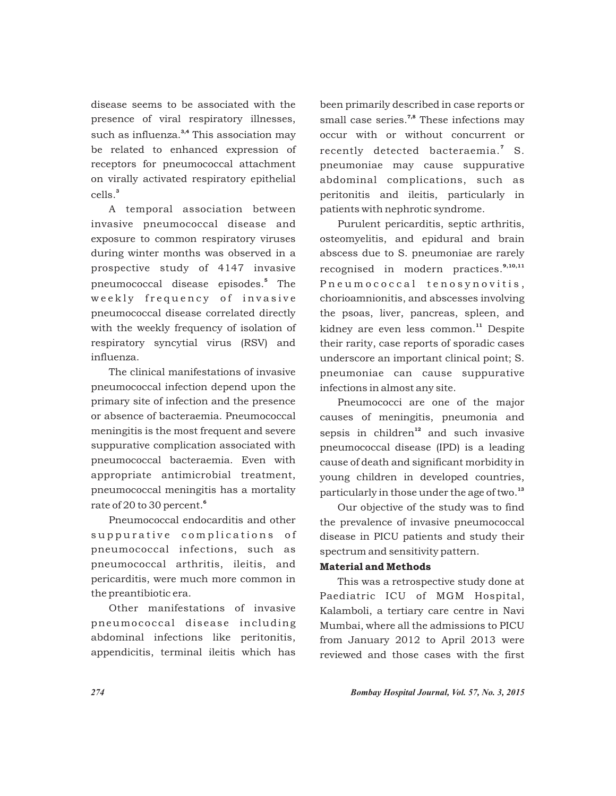disease seems to be associated with the presence of viral respiratory illnesses, such as influenza.<sup>3,4</sup> This association may be related to enhanced expression of receptors for pneumococcal attachment on virally activated respiratory epithelial 3 cells.

A temporal association between invasive pneumococcal disease and exposure to common respiratory viruses during winter months was observed in a prospective study of 4147 invasive pneumococcal disease episodes.<sup>5</sup> The weekly frequency of invasive pneumococcal disease correlated directly with the weekly frequency of isolation of respiratory syncytial virus (RSV) and influenza.

The clinical manifestations of invasive pneumococcal infection depend upon the primary site of infection and the presence or absence of bacteraemia. Pneumococcal meningitis is the most frequent and severe suppurative complication associated with pneumococcal bacteraemia. Even with appropriate antimicrobial treatment, pneumococcal meningitis has a mortality 6 rate of 20 to 30 percent.

Pneumococcal endocarditis and other suppurative complications of pneumococcal infections, such as pneumococcal arthritis, ileitis, and pericarditis, were much more common in the preantibiotic era.

Other manifestations of invasive pneumococcal disease including abdominal infections like peritonitis, appendicitis, terminal ileitis which has

been primarily described in case reports or small case series.<sup>7,8</sup> These infections may occur with or without concurrent or recently detected bacteraemia.<sup>7</sup> S. pneumoniae may cause suppurative abdominal complications, such as peritonitis and ileitis, particularly in patients with nephrotic syndrome.

Purulent pericarditis, septic arthritis, osteomyelitis, and epidural and brain abscess due to S. pneumoniae are rarely recognised in modern practices.<sup>9,10,11</sup> Pneumococcal tenosynovitis, chorioamnionitis, and abscesses involving the psoas, liver, pancreas, spleen, and kidney are even less common.<sup>11</sup> Despite their rarity, case reports of sporadic cases underscore an important clinical point; S. pneumoniae can cause suppurative infections in almost any site.

Pneumococci are one of the major causes of meningitis, pneumonia and sepsis in children $12$  and such invasive pneumococcal disease (IPD) is a leading cause of death and significant morbidity in young children in developed countries, particularly in those under the age of two.<sup>13</sup>

Our objective of the study was to find the prevalence of invasive pneumococcal disease in PICU patients and study their spectrum and sensitivity pattern.

# Material and Methods

This was a retrospective study done at Paediatric ICU of MGM Hospital, Kalamboli, a tertiary care centre in Navi Mumbai, where all the admissions to PICU from January 2012 to April 2013 were reviewed and those cases with the first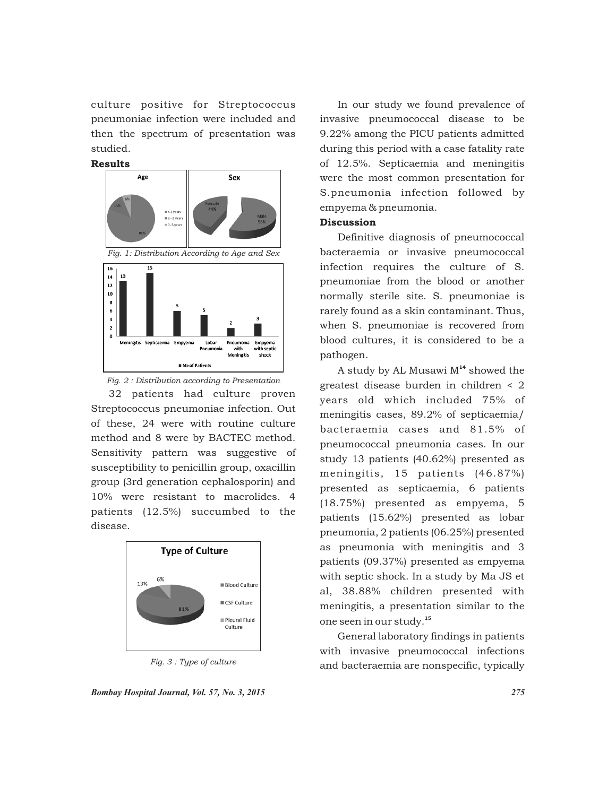culture positive for Streptococcus pneumoniae infection were included and then the spectrum of presentation was studied.





32 patients had culture proven Streptococcus pneumoniae infection. Out of these, 24 were with routine culture method and 8 were by BACTEC method. Sensitivity pattern was suggestive of susceptibility to penicillin group, oxacillin group (3rd generation cephalosporin) and 10% were resistant to macrolides. 4 patients (12.5%) succumbed to the disease.



*Bombay Hospital Journal, Vol. 57, No. 3, 2015 275*

In our study we found prevalence of invasive pneumococcal disease to be 9.22% among the PICU patients admitted during this period with a case fatality rate of 12.5%. Septicaemia and meningitis were the most common presentation for S.pneumonia infection followed by empyema & pneumonia.

## **Discussion**

Definitive diagnosis of pneumococcal bacteraemia or invasive pneumococcal infection requires the culture of S. pneumoniae from the blood or another normally sterile site. S. pneumoniae is rarely found as a skin contaminant. Thus, when S. pneumoniae is recovered from blood cultures, it is considered to be a pathogen.

A study by AL Musawi  $M<sup>14</sup>$  showed the greatest disease burden in children < 2 years old which included 75% of meningitis cases, 89.2% of septicaemia/ bacteraemia cases and 81.5% of pneumococcal pneumonia cases. In our study 13 patients (40.62%) presented as meningitis, 15 patients (46.87%) presented as septicaemia, 6 patients (18.75%) presented as empyema, 5 patients (15.62%) presented as lobar pneumonia, 2 patients (06.25%) presented as pneumonia with meningitis and 3 patients (09.37%) presented as empyema with septic shock. In a study by Ma JS et al, 38.88% children presented with meningitis, a presentation similar to the one seen in our study.<sup>15</sup>

General laboratory findings in patients with invasive pneumococcal infections and bacteraemia are nonspecific, typically *Fig. 3 : Type of culture*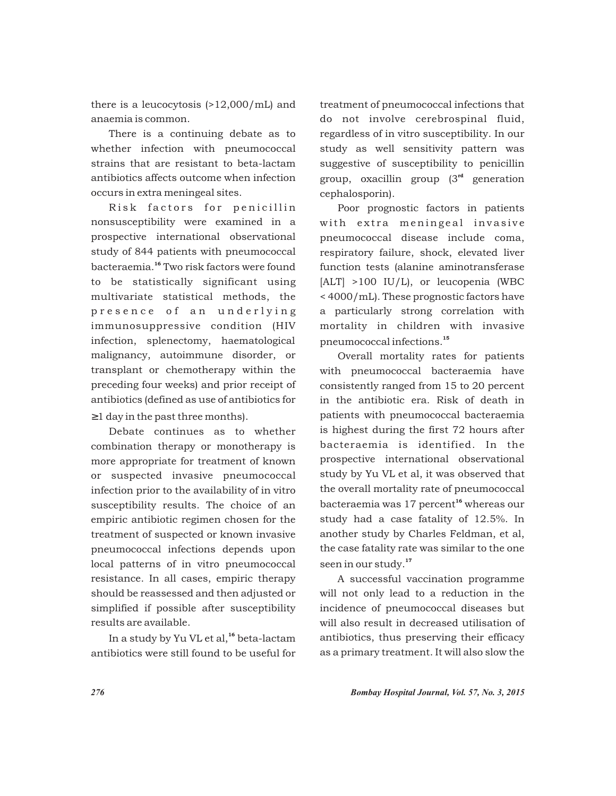there is a leucocytosis (>12,000/mL) and anaemia is common.

There is a continuing debate as to whether infection with pneumococcal strains that are resistant to beta-lactam antibiotics affects outcome when infection occurs in extra meningeal sites.

Risk factors for penicillin nonsusceptibility were examined in a prospective international observational study of 844 patients with pneumococcal bacteraemia.<sup>16</sup> Two risk factors were found to be statistically significant using multivariate statistical methods, the presence of an underlying immunosuppressive condition (HIV infection, splenectomy, haematological malignancy, autoimmune disorder, or transplant or chemotherapy within the preceding four weeks) and prior receipt of antibiotics (defined as use of antibiotics for

1 day in the past three months).

Debate continues as to whether combination therapy or monotherapy is more appropriate for treatment of known or suspected invasive pneumococcal infection prior to the availability of in vitro susceptibility results. The choice of an empiric antibiotic regimen chosen for the treatment of suspected or known invasive pneumococcal infections depends upon local patterns of in vitro pneumococcal resistance. In all cases, empiric therapy should be reassessed and then adjusted or simplified if possible after susceptibility results are available.

In a study by Yu VL et al,<sup>16</sup> beta-lactam antibiotics were still found to be useful for

treatment of pneumococcal infections that do not involve cerebrospinal fluid, regardless of in vitro susceptibility. In our study as well sensitivity pattern was suggestive of susceptibility to penicillin group, oxacillin group (3<sup>rd</sup> generation cephalosporin).

Poor prognostic factors in patients with extra meningeal invasive pneumococcal disease include coma, respiratory failure, shock, elevated liver function tests (alanine aminotransferase [ALT] >100 IU/L), or leucopenia (WBC < 4000/mL). These prognostic factors have a particularly strong correlation with mortality in children with invasive pneumococcal infections.<sup>15</sup>

Overall mortality rates for patients with pneumococcal bacteraemia have consistently ranged from 15 to 20 percent in the antibiotic era. Risk of death in patients with pneumococcal bacteraemia is highest during the first 72 hours after bacteraemia is identified. In the prospective international observational study by Yu VL et al, it was observed that the overall mortality rate of pneumococcal bacteraemia was 17 percent<sup>16</sup> whereas our study had a case fatality of 12.5%. In another study by Charles Feldman, et al, the case fatality rate was similar to the one seen in our study.<sup>17</sup>

A successful vaccination programme will not only lead to a reduction in the incidence of pneumococcal diseases but will also result in decreased utilisation of antibiotics, thus preserving their efficacy as a primary treatment. It will also slow the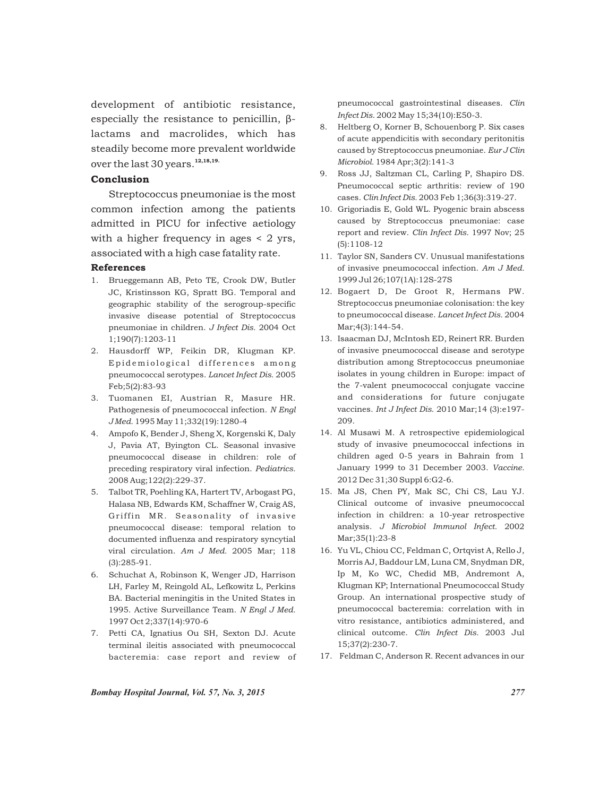development of antibiotic resistance, especially the resistance to penicillin,  $\beta$ lactams and macrolides, which has steadily become more prevalent worldwide over the last 30 years.<sup>12,18,19.</sup>

# Conclusion

Streptococcus pneumoniae is the most common infection among the patients admitted in PICU for infective aetiology with a higher frequency in ages  $\leq$  2 yrs, associated with a high case fatality rate.

#### References

- 1. Brueggemann AB, Peto TE, Crook DW, Butler JC, Kristinsson KG, Spratt BG. Temporal and geographic stability of the serogroup-specific invasive disease potential of Streptococcus pneumoniae in children. *J Infect Dis.* 2004 Oct 1;190(7):1203-11
- 2. Hausdorff WP, Feikin DR, Klugman KP. Epidemiological differences among pneumococcal serotypes. *Lancet Infect Dis.* 2005 Feb;5(2):83-93
- 3. Tuomanen EI, Austrian R, Masure HR. Pathogenesis of pneumococcal infection. *N Engl J Med.* 1995 May 11;332(19):1280-4
- 4. Ampofo K, Bender J, Sheng X, Korgenski K, Daly J, Pavia AT, Byington CL. Seasonal invasive pneumococcal disease in children: role of preceding respiratory viral infection. *Pediatrics.* 2008 Aug;122(2):229-37.
- 5. Talbot TR, Poehling KA, Hartert TV, Arbogast PG, Halasa NB, Edwards KM, Schaffner W, Craig AS, Griffin MR. Seasonality of invasive pneumococcal disease: temporal relation to documented influenza and respiratory syncytial viral circulation. *Am J Med.* 2005 Mar; 118 (3):285-91.
- 6. Schuchat A, Robinson K, Wenger JD, Harrison LH, Farley M, Reingold AL, Lefkowitz L, Perkins BA. Bacterial meningitis in the United States in 1995. Active Surveillance Team. *N Engl J Med.* 1997 Oct 2;337(14):970-6
- 7. Petti CA, Ignatius Ou SH, Sexton DJ. Acute terminal ileitis associated with pneumococcal bacteremia: case report and review of

pneumococcal gastrointestinal diseases. *Clin Infect Dis.* 2002 May 15;34(10):E50-3.

- 8. Heltberg O, Korner B, Schouenborg P. Six cases of acute appendicitis with secondary peritonitis caused by Streptococcus pneumoniae. *Eur J Clin Microbiol.* 1984 Apr;3(2):141-3
- 9. Ross JJ, Saltzman CL, Carling P, Shapiro DS. Pneumococcal septic arthritis: review of 190 cases. *Clin Infect Dis.* 2003 Feb 1;36(3):319-27.
- 10. Grigoriadis E, Gold WL. Pyogenic brain abscess caused by Streptococcus pneumoniae: case report and review. *Clin Infect Dis.* 1997 Nov; 25 (5):1108-12
- 11. Taylor SN, Sanders CV. Unusual manifestations of invasive pneumococcal infection. *Am J Med.*  1999 Jul 26;107(1A):12S-27S
- 12. Bogaert D, De Groot R, Hermans PW. Streptococcus pneumoniae colonisation: the key to pneumococcal disease. *Lancet Infect Dis.* 2004 Mar;4(3):144-54.
- 13. Isaacman DJ, McIntosh ED, Reinert RR. Burden of invasive pneumococcal disease and serotype distribution among Streptococcus pneumoniae isolates in young children in Europe: impact of the 7-valent pneumococcal conjugate vaccine and considerations for future conjugate vaccines. *Int J Infect Dis.* 2010 Mar;14 (3):e197- 209.
- 14. Al Musawi M. A retrospective epidemiological study of invasive pneumococcal infections in children aged 0-5 years in Bahrain from 1 January 1999 to 31 December 2003. *Vaccine.* 2012 Dec 31;30 Suppl 6:G2-6.
- 15. Ma JS, Chen PY, Mak SC, Chi CS, Lau YJ. Clinical outcome of invasive pneumococcal infection in children: a 10-year retrospective analysis. *J Microbiol Immunol Infect.* 2002 Mar;35(1):23-8
- 16. Yu VL, Chiou CC, Feldman C, Ortqvist A, Rello J, Morris AJ, Baddour LM, Luna CM, Snydman DR, Ip M, Ko WC, Chedid MB, Andremont A, Klugman KP; International Pneumococcal Study Group. An international prospective study of pneumococcal bacteremia: correlation with in vitro resistance, antibiotics administered, and clinical outcome. *Clin Infect Dis.* 2003 Jul 15;37(2):230-7.
- 17. Feldman C, Anderson R. Recent advances in our

*Bombay Hospital Journal, Vol. 57, No. 3, 2015 277*